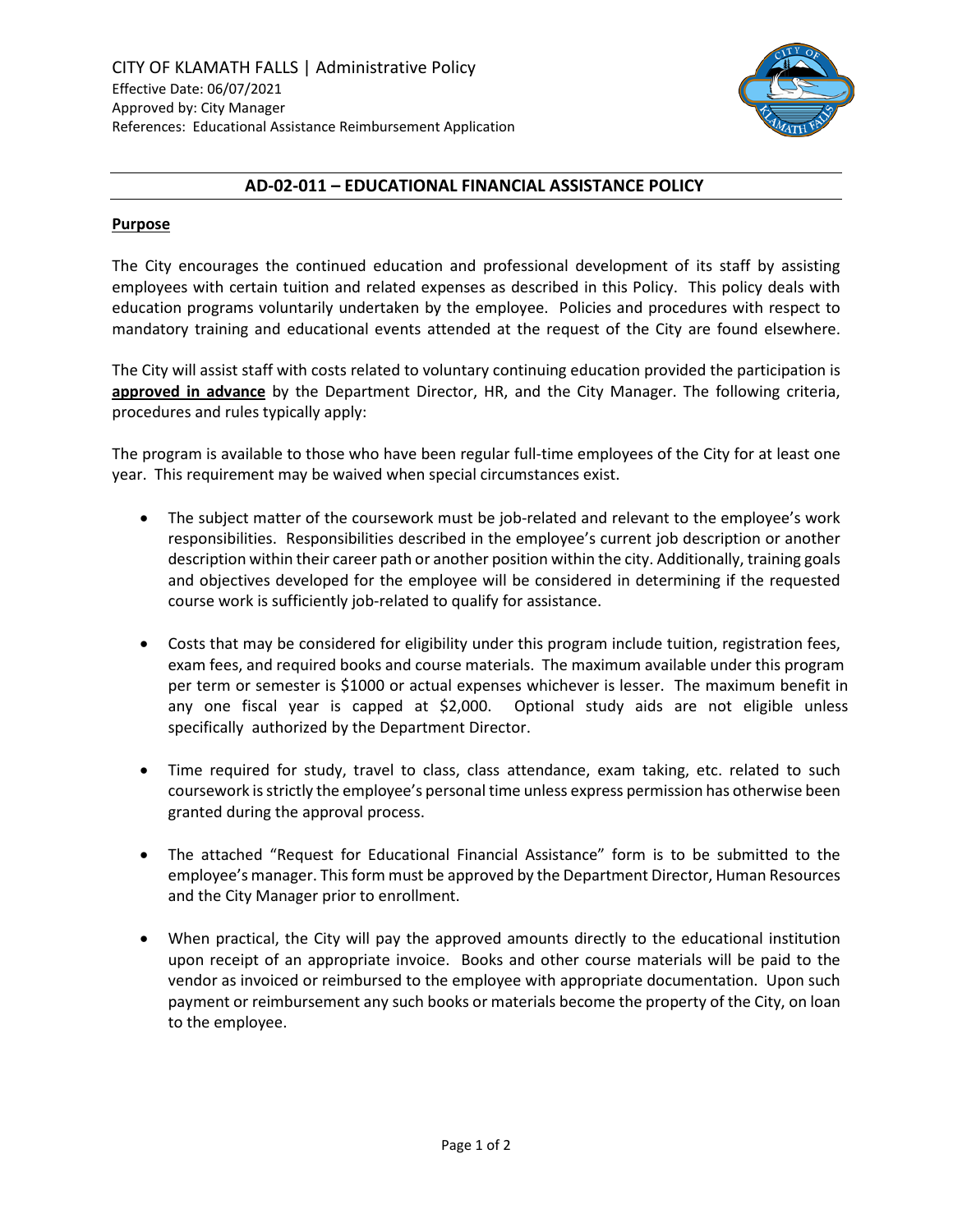

## **AD-02-011 – EDUCATIONAL FINANCIAL ASSISTANCE POLICY**

#### **Purpose**

The City encourages the continued education and professional development of its staff by assisting employees with certain tuition and related expenses as described in this Policy. This policy deals with education programs voluntarily undertaken by the employee. Policies and procedures with respect to mandatory training and educational events attended at the request of the City are found elsewhere.

The City will assist staff with costs related to voluntary continuing education provided the participation is **approved in advance** by the Department Director, HR, and the City Manager. The following criteria, procedures and rules typically apply:

The program is available to those who have been regular full-time employees of the City for at least one year. This requirement may be waived when special circumstances exist.

- The subject matter of the coursework must be job-related and relevant to the employee's work responsibilities. Responsibilities described in the employee's current job description or another description within their career path or another position within the city. Additionally, training goals and objectives developed for the employee will be considered in determining if the requested course work is sufficiently job-related to qualify for assistance.
- Costs that may be considered for eligibility under this program include tuition, registration fees, exam fees, and required books and course materials. The maximum available under this program per term or semester is \$1000 or actual expenses whichever is lesser. The maximum benefit in any one fiscal year is capped at \$2,000. Optional study aids are not eligible unless specifically authorized by the Department Director.
- Time required for study, travel to class, class attendance, exam taking, etc. related to such coursework is strictly the employee's personal time unless express permission has otherwise been granted during the approval process.
- The attached "Request for Educational Financial Assistance" form is to be submitted to the employee's manager. This form must be approved by the Department Director, Human Resources and the City Manager prior to enrollment.
- When practical, the City will pay the approved amounts directly to the educational institution upon receipt of an appropriate invoice. Books and other course materials will be paid to the vendor as invoiced or reimbursed to the employee with appropriate documentation. Upon such payment or reimbursement any such books or materials become the property of the City, on loan to the employee.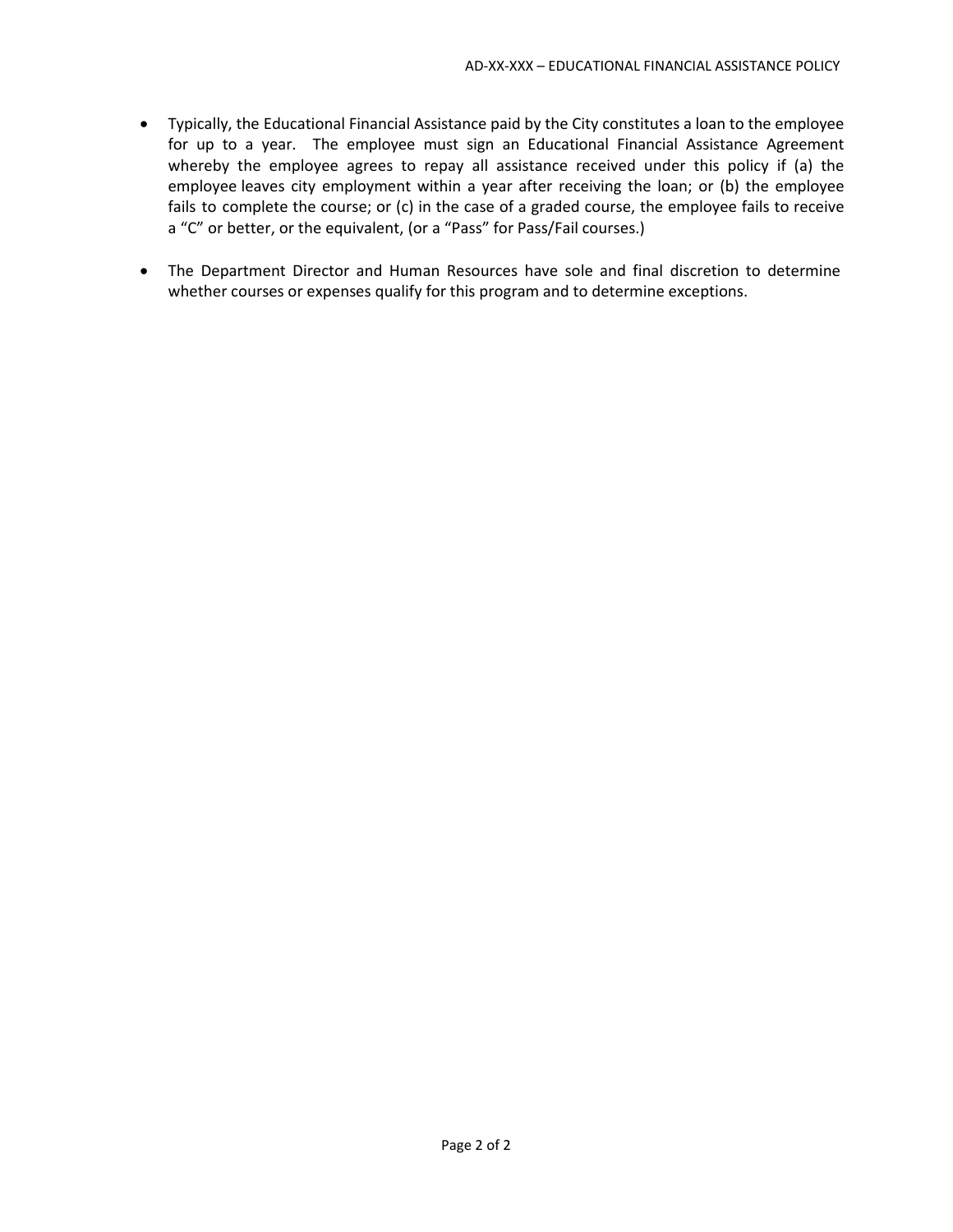- Typically, the Educational Financial Assistance paid by the City constitutes a loan to the employee for up to a year. The employee must sign an Educational Financial Assistance Agreement whereby the employee agrees to repay all assistance received under this policy if (a) the employee leaves city employment within a year after receiving the loan; or (b) the employee fails to complete the course; or (c) in the case of a graded course, the employee fails to receive a "C" or better, or the equivalent, (or a "Pass" for Pass/Fail courses.)
- The Department Director and Human Resources have sole and final discretion to determine whether courses or expenses qualify for this program and to determine exceptions.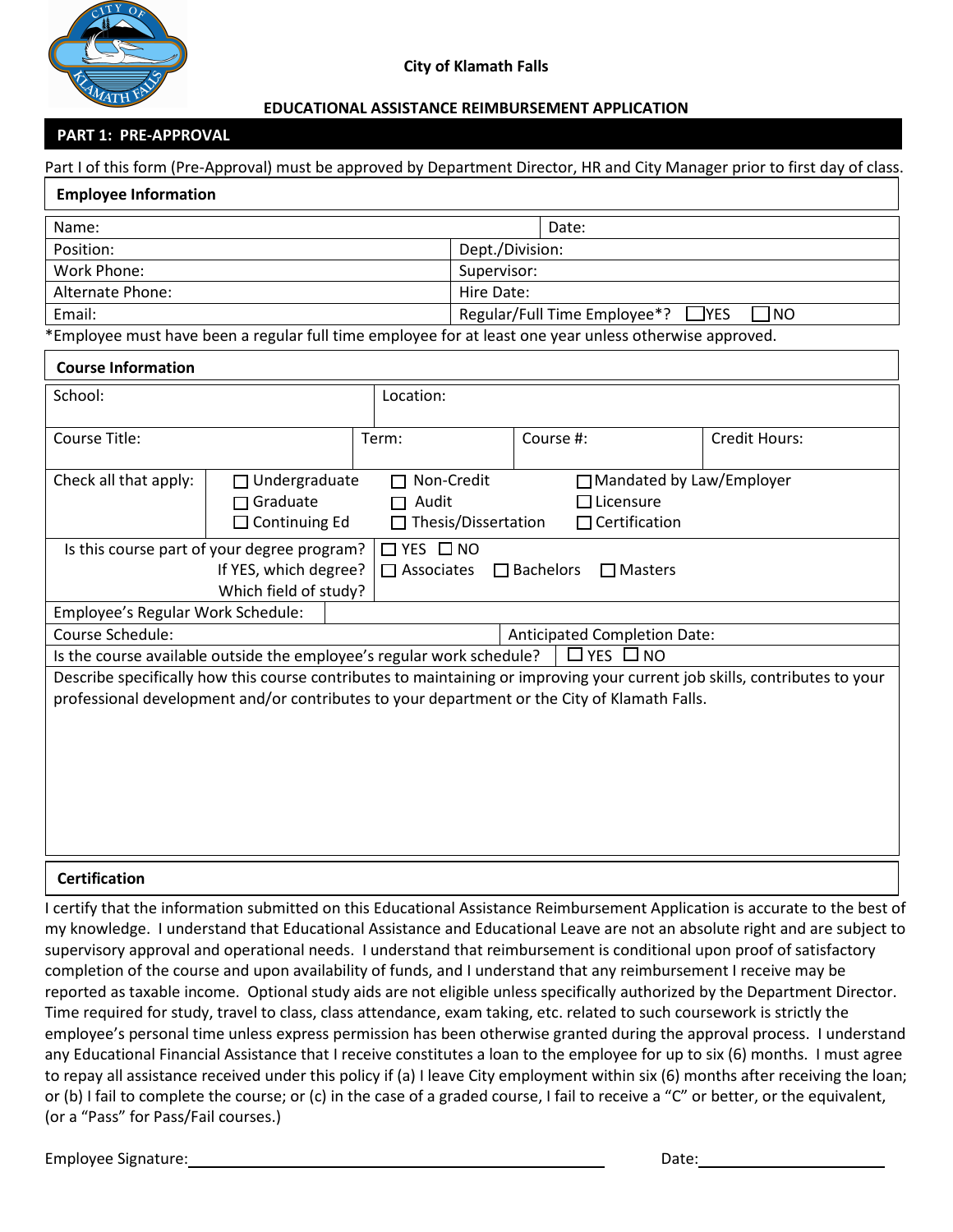

#### **EDUCATIONAL ASSISTANCE REIMBURSEMENT APPLICATION**

#### **PART 1: PRE-APPROVAL**

Part I of this form (Pre-Approval) must be approved by Department Director, HR and City Manager prior to first day of class.

| <b>Employee Information</b>                                                                                                |                                                                                                                                                                                                         |           |                                     |                                                           |                      |                      |  |  |  |
|----------------------------------------------------------------------------------------------------------------------------|---------------------------------------------------------------------------------------------------------------------------------------------------------------------------------------------------------|-----------|-------------------------------------|-----------------------------------------------------------|----------------------|----------------------|--|--|--|
| Name:                                                                                                                      |                                                                                                                                                                                                         |           |                                     |                                                           | Date:                |                      |  |  |  |
| Position:                                                                                                                  |                                                                                                                                                                                                         |           |                                     | Dept./Division:                                           |                      |                      |  |  |  |
| Work Phone:                                                                                                                |                                                                                                                                                                                                         |           |                                     | Supervisor:                                               |                      |                      |  |  |  |
| Alternate Phone:                                                                                                           |                                                                                                                                                                                                         |           |                                     | Hire Date:                                                |                      |                      |  |  |  |
| Email:                                                                                                                     |                                                                                                                                                                                                         |           |                                     | Regular/Full Time Employee*?<br><b>T</b> YES<br><b>NO</b> |                      |                      |  |  |  |
| *Employee must have been a regular full time employee for at least one year unless otherwise approved.                     |                                                                                                                                                                                                         |           |                                     |                                                           |                      |                      |  |  |  |
| <b>Course Information</b>                                                                                                  |                                                                                                                                                                                                         |           |                                     |                                                           |                      |                      |  |  |  |
| School:                                                                                                                    |                                                                                                                                                                                                         | Location: |                                     |                                                           |                      |                      |  |  |  |
| Course Title:                                                                                                              |                                                                                                                                                                                                         | Term:     |                                     |                                                           | Course #:            | <b>Credit Hours:</b> |  |  |  |
| Check all that apply:                                                                                                      | □ Non-Credit<br>□ Mandated by Law/Employer<br>$\Box$ Undergraduate<br>$\Box$ Graduate<br>$\Box$ Licensure<br>$\Box$ Audit<br>$\Box$ Continuing Ed<br>$\Box$ Certification<br>$\Box$ Thesis/Dissertation |           |                                     |                                                           |                      |                      |  |  |  |
| $\Box$ YES $\Box$ NO<br>Is this course part of your degree program?                                                        |                                                                                                                                                                                                         |           |                                     |                                                           |                      |                      |  |  |  |
| If YES, which degree?<br>$\Box$ Associates<br>$\Box$ Bachelors<br>$\Box$ Masters                                           |                                                                                                                                                                                                         |           |                                     |                                                           |                      |                      |  |  |  |
| Which field of study?                                                                                                      |                                                                                                                                                                                                         |           |                                     |                                                           |                      |                      |  |  |  |
| Employee's Regular Work Schedule:                                                                                          |                                                                                                                                                                                                         |           |                                     |                                                           |                      |                      |  |  |  |
| Course Schedule:                                                                                                           |                                                                                                                                                                                                         |           | <b>Anticipated Completion Date:</b> |                                                           |                      |                      |  |  |  |
| Is the course available outside the employee's regular work schedule?                                                      |                                                                                                                                                                                                         |           |                                     |                                                           | $\Box$ YES $\Box$ NO |                      |  |  |  |
| Describe specifically how this course contributes to maintaining or improving your current job skills, contributes to your |                                                                                                                                                                                                         |           |                                     |                                                           |                      |                      |  |  |  |
| professional development and/or contributes to your department or the City of Klamath Falls.                               |                                                                                                                                                                                                         |           |                                     |                                                           |                      |                      |  |  |  |
|                                                                                                                            |                                                                                                                                                                                                         |           |                                     |                                                           |                      |                      |  |  |  |
|                                                                                                                            |                                                                                                                                                                                                         |           |                                     |                                                           |                      |                      |  |  |  |
|                                                                                                                            |                                                                                                                                                                                                         |           |                                     |                                                           |                      |                      |  |  |  |
|                                                                                                                            |                                                                                                                                                                                                         |           |                                     |                                                           |                      |                      |  |  |  |
|                                                                                                                            |                                                                                                                                                                                                         |           |                                     |                                                           |                      |                      |  |  |  |
|                                                                                                                            |                                                                                                                                                                                                         |           |                                     |                                                           |                      |                      |  |  |  |
|                                                                                                                            |                                                                                                                                                                                                         |           |                                     |                                                           |                      |                      |  |  |  |

## **Certification**

I certify that the information submitted on this Educational Assistance Reimbursement Application is accurate to the best of my knowledge. I understand that Educational Assistance and Educational Leave are not an absolute right and are subject to supervisory approval and operational needs. I understand that reimbursement is conditional upon proof of satisfactory completion of the course and upon availability of funds, and I understand that any reimbursement I receive may be reported as taxable income. Optional study aids are not eligible unless specifically authorized by the Department Director. Time required for study, travel to class, class attendance, exam taking, etc. related to such coursework is strictly the employee's personal time unless express permission has been otherwise granted during the approval process. I understand any Educational Financial Assistance that I receive constitutes a loan to the employee for up to six (6) months. I must agree to repay all assistance received under this policy if (a) I leave City employment within six (6) months after receiving the loan; or (b) I fail to complete the course; or (c) in the case of a graded course, I fail to receive a "C" or better, or the equivalent, (or a "Pass" for Pass/Fail courses.)

Employee Signature: Date: